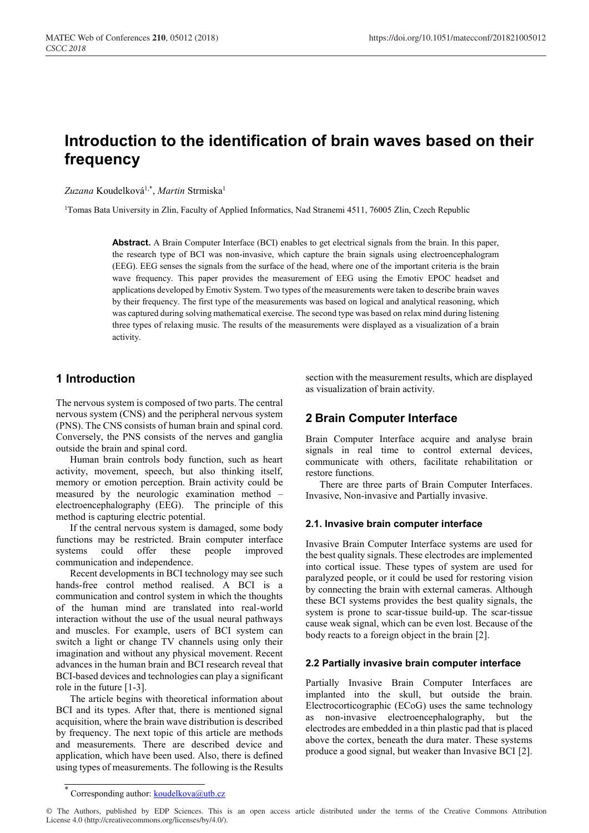# **Introduction to the identification of brain waves based on their frequency**

Zuzana Koudelková<sup>1,\*</sup>, Martin Strmiska<sup>1</sup>

<sup>1</sup>Tomas Bata University in Zlin, Faculty of Applied Informatics, Nad Stranemi 4511, 76005 Zlin, Czech Republic

**Abstract.** A Brain Computer Interface (BCI) enables to get electrical signals from the brain. In this paper, the research type of BCI was non-invasive, which capture the brain signals using electroencephalogram (EEG). EEG senses the signals from the surface of the head, where one of the important criteria is the brain wave frequency. This paper provides the measurement of EEG using the Emotiv EPOC headset and applications developed by Emotiv System. Two types of the measurements were taken to describe brain waves by their frequency. The first type of the measurements was based on logical and analytical reasoning, which was captured during solving mathematical exercise. The second type was based on relax mind during listening three types of relaxing music. The results of the measurements were displayed as a visualization of a brain activity.

### **1 Introduction**

The nervous system is composed of two parts. The central nervous system (CNS) and the peripheral nervous system (PNS). The CNS consists of human brain and spinal cord. Conversely, the PNS consists of the nerves and ganglia outside the brain and spinal cord.

Human brain controls body function, such as heart activity, movement, speech, but also thinking itself, memory or emotion perception. Brain activity could be measured by the neurologic examination method – electroencephalography (EEG). The principle of this method is capturing electric potential.

If the central nervous system is damaged, some body functions may be restricted. Brain computer interface systems could offer these people improved communication and independence.

Recent developments in BCI technology may see such hands-free control method realised. A BCI is a communication and control system in which the thoughts of the human mind are translated into real-world interaction without the use of the usual neural pathways and muscles. For example, users of BCI system can switch a light or change TV channels using only their imagination and without any physical movement. Recent advances in the human brain and BCI research reveal that BCI-based devices and technologies can play a significant role in the future [1-3].

The article begins with theoretical information about BCI and its types. After that, there is mentioned signal acquisition, where the brain wave distribution is described by frequency. The next topic of this article are methods and measurements. There are described device and application, which have been used. Also, there is defined using types of measurements. The following is the Results

section with the measurement results, which are displayed as visualization of brain activity.

### **2 Brain Computer Interface**

Brain Computer Interface acquire and analyse brain signals in real time to control external devices, communicate with others, facilitate rehabilitation or restore functions.

There are three parts of Brain Computer Interfaces. Invasive, Non-invasive and Partially invasive.

#### **2.1. Invasive brain computer interface**

Invasive Brain Computer Interface systems are used for the best quality signals. These electrodes are implemented into cortical issue. These types of system are used for paralyzed people, or it could be used for restoring vision by connecting the brain with external cameras. Although these BCI systems provides the best quality signals, the system is prone to scar-tissue build-up. The scar-tissue cause weak signal, which can be even lost. Because of the body reacts to a foreign object in the brain [2].

#### **2.2 Partially invasive brain computer interface**

Partially Invasive Brain Computer Interfaces are implanted into the skull, but outside the brain. Electrocorticographic (ECoG) uses the same technology as non-invasive electroencephalography, but the electrodes are embedded in a thin plastic pad that is placed above the cortex, beneath the dura mater. These systems produce a good signal, but weaker than Invasive BCI [2].

Corresponding author:  $koudelkova@utb.cz$ 

<sup>©</sup> The Authors, published by EDP Sciences. This is an open access article distributed under the terms of the Creative Commons Attribution License 4.0 (http://creativecommons.org/licenses/by/4.0/).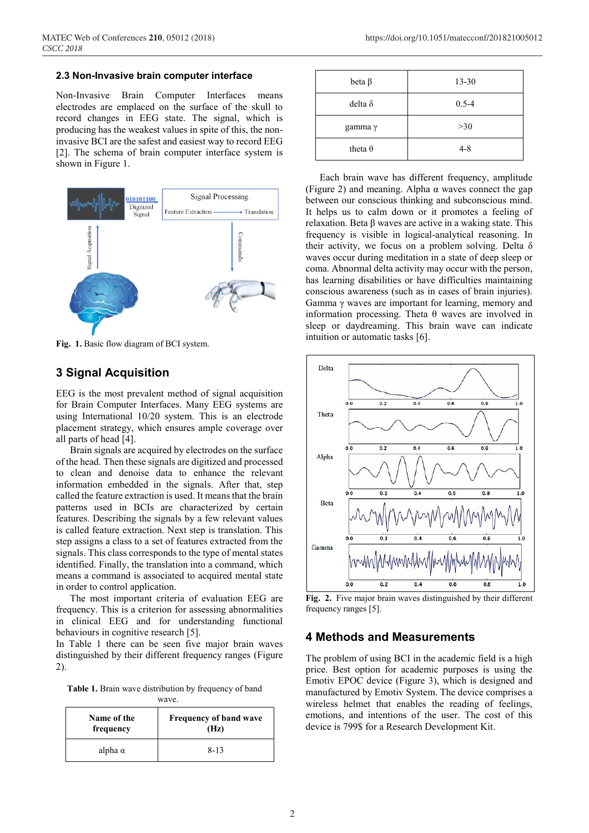### **2.3 Non-Invasive brain computer interface**

Non-Invasive Brain Computer Interfaces means electrodes are emplaced on the surface of the skull to record changes in EEG state. The signal, which is producing has the weakest values in spite of this, the noninvasive BCI are the safest and easiest way to record EEG [2]. The schema of brain computer interface system is shown in Figure 1.



Fig. 1. Basic flow diagram of BCI system.

### **3 Signal Acquisition**

EEG is the most prevalent method of signal acquisition for Brain Computer Interfaces. Many EEG systems are using International 10/20 system. This is an electrode placement strategy, which ensures ample coverage over all parts of head [4].

Brain signals are acquired by electrodes on the surface of the head. Then these signals are digitized and processed to clean and denoise data to enhance the relevant information embedded in the signals. After that, step called the feature extraction is used. It means that the brain patterns used in BCIs are characterized by certain features. Describing the signals by a few relevant values is called feature extraction. Next step is translation. This step assigns a class to a set of features extracted from the signals. This class corresponds to the type of mental states identified. Finally, the translation into a command, which means a command is associated to acquired mental state in order to control application.

The most important criteria of evaluation EEG are frequency. This is a criterion for assessing abnormalities in clinical EEG and for understanding functional behaviours in cognitive research [5].

In Table 1 there can be seen five major brain waves distinguished by their different frequency ranges (Figure 2).

**Table 1.** Brain wave distribution by frequency of band wave.

| Name of the    | <b>Frequency of band wave</b> |
|----------------|-------------------------------|
| frequency      | (Hz)                          |
| alpha $\alpha$ | $8 - 13$                      |

| beta $\beta$   | $13 - 30$ |
|----------------|-----------|
| delta $\delta$ | $0.5 - 4$ |
| gamma γ        | $>30$     |
| theta $\theta$ | $4 - 8$   |

Each brain wave has different frequency, amplitude (Figure 2) and meaning. Alpha  $\alpha$  waves connect the gap between our conscious thinking and subconscious mind. It helps us to calm down or it promotes a feeling of relaxation. Beta β waves are active in a waking state. This frequency is visible in logical-analytical reasoning. In their activity, we focus on a problem solving. Delta δ waves occur during meditation in a state of deep sleep or coma. Abnormal delta activity may occur with the person, has learning disabilities or have difficulties maintaining conscious awareness (such as in cases of brain injuries). Gamma γ waves are important for learning, memory and information processing. Theta θ waves are involved in sleep or daydreaming. This brain wave can indicate intuition or automatic tasks [6].



**Fig. 2.** Five major brain waves distinguished by their different frequency ranges [5].

#### **4 Methods and Measurements**

The problem of using BCI in the academic field is a high price. Best option for academic purposes is using the Emotiv EPOC device (Figure 3), which is designed and manufactured by Emotiv System. The device comprises a wireless helmet that enables the reading of feelings, emotions, and intentions of the user. The cost of this device is 799\$ for a Research Development Kit.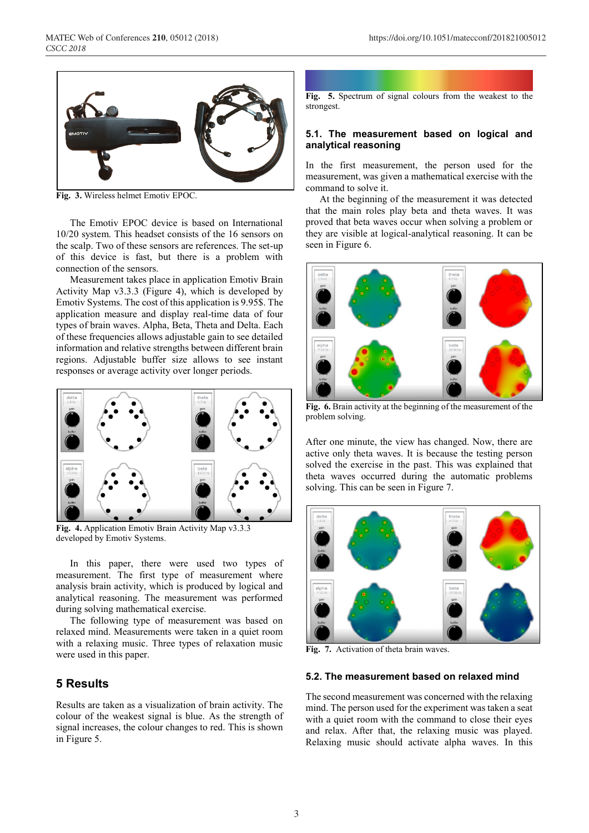

**Fig. 3.** Wireless helmet Emotiv EPOC.

The Emotiv EPOC device is based on International 10/20 system. This headset consists of the 16 sensors on the scalp. Two of these sensors are references. The set-up of this device is fast, but there is a problem with connection of the sensors.

Measurement takes place in application Emotiv Brain Activity Map v3.3.3 (Figure 4), which is developed by Emotiv Systems. The cost of this application is 9.95\$. The application measure and display real-time data of four types of brain waves. Alpha, Beta, Theta and Delta. Each of these frequencies allows adjustable gain to see detailed information and relative strengths between different brain regions. Adjustable buffer size allows to see instant responses or average activity over longer periods.



**Fig. 4.** Application Emotiv Brain Activity Map v3.3.3 developed by Emotiv Systems.

In this paper, there were used two types of measurement. The first type of measurement where analysis brain activity, which is produced by logical and analytical reasoning. The measurement was performed during solving mathematical exercise.

The following type of measurement was based on relaxed mind. Measurements were taken in a quiet room with a relaxing music. Three types of relaxation music were used in this paper.

# **5 Results**

Results are taken as a visualization of brain activity. The colour of the weakest signal is blue. As the strength of signal increases, the colour changes to red. This is shown in Figure 5.

**Fig. 5.** Spectrum of signal colours from the weakest to the strongest.

#### **5.1. The measurement based on logical and analytical reasoning**

In the first measurement, the person used for the measurement, was given a mathematical exercise with the command to solve it.

At the beginning of the measurement it was detected that the main roles play beta and theta waves. It was proved that beta waves occur when solving a problem or they are visible at logical-analytical reasoning. It can be seen in Figure 6.



**Fig. 6.** Brain activity at the beginning of the measurement of the problem solving.

After one minute, the view has changed. Now, there are active only theta waves. It is because the testing person solved the exercise in the past. This was explained that theta waves occurred during the automatic problems solving. This can be seen in Figure 7.



**Fig. 7.** Activation of theta brain waves.

#### **5.2. The measurement based on relaxed mind**

The second measurement was concerned with the relaxing mind. The person used for the experiment was taken a seat with a quiet room with the command to close their eyes and relax. After that, the relaxing music was played. Relaxing music should activate alpha waves. In this